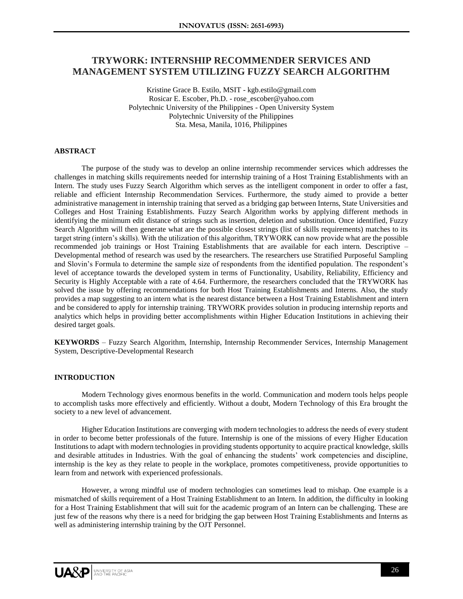# **TRYWORK: INTERNSHIP RECOMMENDER SERVICES AND MANAGEMENT SYSTEM UTILIZING FUZZY SEARCH ALGORITHM**

Kristine Grace B. Estilo, MSIT - kgb.estilo@gmail.com Rosicar E. Escober, Ph.D. - rose\_escober@yahoo.com Polytechnic University of the Philippines - Open University System Polytechnic University of the Philippines Sta. Mesa, Manila, 1016, Philippines

#### **ABSTRACT**

The purpose of the study was to develop an online internship recommender services which addresses the challenges in matching skills requirements needed for internship training of a Host Training Establishments with an Intern. The study uses Fuzzy Search Algorithm which serves as the intelligent component in order to offer a fast, reliable and efficient Internship Recommendation Services. Furthermore, the study aimed to provide a better administrative management in internship training that served as a bridging gap between Interns, State Universities and Colleges and Host Training Establishments. Fuzzy Search Algorithm works by applying different methods in identifying the minimum edit distance of strings such as insertion, deletion and substitution. Once identified, Fuzzy Search Algorithm will then generate what are the possible closest strings (list of skills requirements) matches to its target string (intern's skills). With the utilization of this algorithm, TRYWORK can now provide what are the possible recommended job trainings or Host Training Establishments that are available for each intern. Descriptive – Developmental method of research was used by the researchers. The researchers use Stratified Purposeful Sampling and Slovin's Formula to determine the sample size of respondents from the identified population. The respondent's level of acceptance towards the developed system in terms of Functionality, Usability, Reliability, Efficiency and Security is Highly Acceptable with a rate of 4.64. Furthermore, the researchers concluded that the TRYWORK has solved the issue by offering recommendations for both Host Training Establishments and Interns. Also, the study provides a map suggesting to an intern what is the nearest distance between a Host Training Establishment and intern and be considered to apply for internship training. TRYWORK provides solution in producing internship reports and analytics which helps in providing better accomplishments within Higher Education Institutions in achieving their desired target goals.

**KEYWORDS** – Fuzzy Search Algorithm, Internship, Internship Recommender Services, Internship Management System, Descriptive-Developmental Research

#### **INTRODUCTION**

Modern Technology gives enormous benefits in the world. Communication and modern tools helps people to accomplish tasks more effectively and efficiently. Without a doubt, Modern Technology of this Era brought the society to a new level of advancement.

Higher Education Institutions are converging with modern technologies to address the needs of every student in order to become better professionals of the future. Internship is one of the missions of every Higher Education Institutions to adapt with modern technologies in providing students opportunity to acquire practical knowledge, skills and desirable attitudes in Industries. With the goal of enhancing the students' work competencies and discipline, internship is the key as they relate to people in the workplace, promotes competitiveness, provide opportunities to learn from and network with experienced professionals.

However, a wrong mindful use of modern technologies can sometimes lead to mishap. One example is a mismatched of skills requirement of a Host Training Establishment to an Intern. In addition, the difficulty in looking for a Host Training Establishment that will suit for the academic program of an Intern can be challenging. These are just few of the reasons why there is a need for bridging the gap between Host Training Establishments and Interns as well as administering internship training by the OJT Personnel.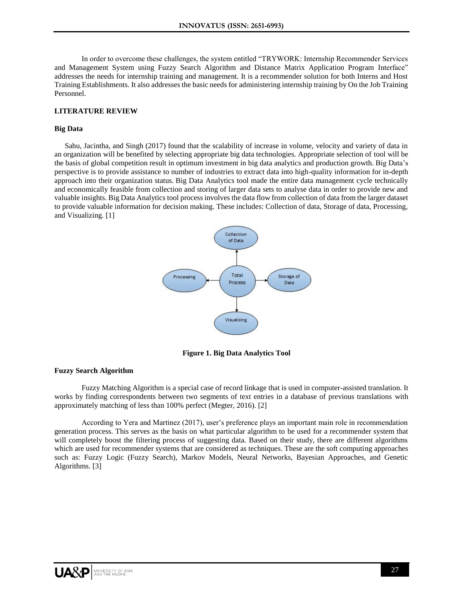In order to overcome these challenges, the system entitled "TRYWORK: Internship Recommender Services and Management System using Fuzzy Search Algorithm and Distance Matrix Application Program Interface" addresses the needs for internship training and management. It is a recommender solution for both Interns and Host Training Establishments. It also addresses the basic needs for administering internship training by On the Job Training Personnel.

## **LITERATURE REVIEW**

#### **Big Data**

Sahu, Jacintha, and Singh (2017) found that the scalability of increase in volume, velocity and variety of data in an organization will be benefited by selecting appropriate big data technologies. Appropriate selection of tool will be the basis of global competition result in optimum investment in big data analytics and production growth. Big Data's perspective is to provide assistance to number of industries to extract data into high-quality information for in-depth approach into their organization status. Big Data Analytics tool made the entire data management cycle technically and economically feasible from collection and storing of larger data sets to analyse data in order to provide new and valuable insights. Big Data Analytics tool process involves the data flow from collection of data from the larger dataset to provide valuable information for decision making. These includes: Collection of data, Storage of data, Processing, and Visualizing. [1]



**Figure 1. Big Data Analytics Tool**

#### **Fuzzy Search Algorithm**

Fuzzy Matching Algorithm is a special case of record linkage that is used in computer-assisted translation. It works by finding correspondents between two segments of text entries in a database of previous translations with approximately matching of less than 100% perfect (Megter, 2016). [2]

According to Yera and Martinez (2017), user's preference plays an important main role in recommendation generation process. This serves as the basis on what particular algorithm to be used for a recommender system that will completely boost the filtering process of suggesting data. Based on their study, there are different algorithms which are used for recommender systems that are considered as techniques. These are the soft computing approaches such as: Fuzzy Logic (Fuzzy Search), Markov Models, Neural Networks, Bayesian Approaches, and Genetic Algorithms. [3]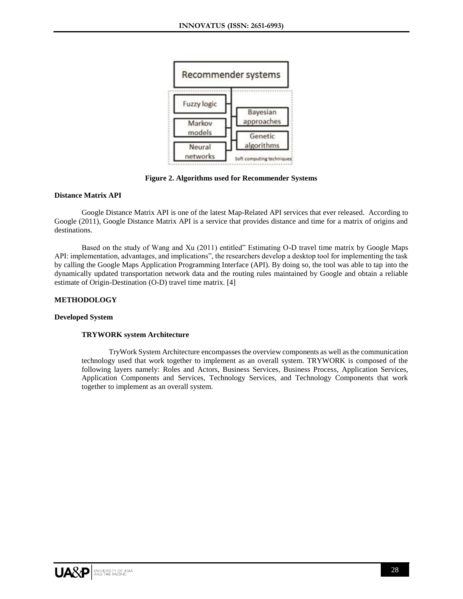

**Figure 2. Algorithms used for Recommender Systems**

## **Distance Matrix API**

Google Distance Matrix API is one of the latest Map-Related API services that ever released. According to Google (2011), Google Distance Matrix API is a service that provides distance and time for a matrix of origins and destinations.

Based on the study of Wang and Xu (2011) entitled" Estimating O-D travel time matrix by Google Maps API: implementation, advantages, and implications", the researchers develop a desktop tool for implementing the task by calling the Google Maps Application Programming Interface (API). By doing so, the tool was able to tap into the dynamically updated transportation network data and the routing rules maintained by Google and obtain a reliable estimate of Origin-Destination (O-D) travel time matrix. [4]

## **METHODOLOGY**

#### **Developed System**

#### **TRYWORK system Architecture**

TryWork System Architecture encompasses the overview components as well as the communication technology used that work together to implement as an overall system. TRYWORK is composed of the following layers namely: Roles and Actors, Business Services, Business Process, Application Services, Application Components and Services, Technology Services, and Technology Components that work together to implement as an overall system.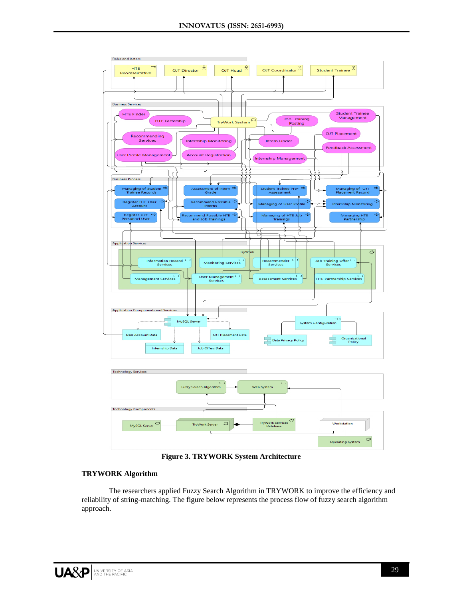

**Figure 3. TRYWORK System Architecture**

## **TRYWORK Algorithm**

The researchers applied Fuzzy Search Algorithm in TRYWORK to improve the efficiency and reliability of string-matching. The figure below represents the process flow of fuzzy search algorithm approach.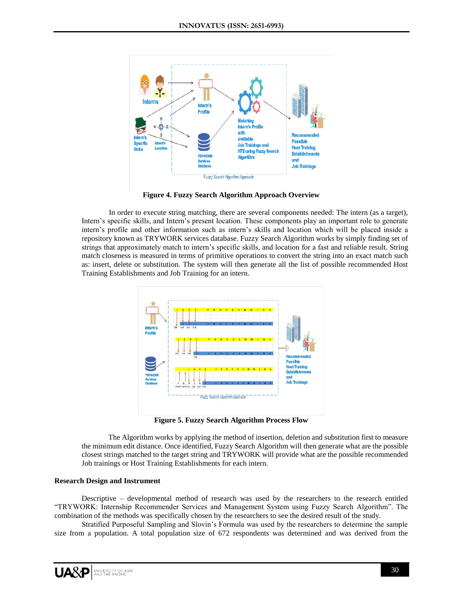

**Figure 4. Fuzzy Search Algorithm Approach Overview**

In order to execute string matching, there are several components needed: The intern (as a target), Intern's specific skills, and Intern's present location. These components play an important role to generate intern's profile and other information such as intern's skills and location which will be placed inside a repository known as TRYWORK services database. Fuzzy Search Algorithm works by simply finding set of strings that approximately match to intern's specific skills, and location for a fast and reliable result. String match closeness is measured in terms of primitive operations to convert the string into an exact match such as: insert, delete or substitution. The system will then generate all the list of possible recommended Host Training Establishments and Job Training for an intern.



**Figure 5. Fuzzy Search Algorithm Process Flow**

The Algorithm works by applying the method of insertion, deletion and substitution first to measure the minimum edit distance. Once identified, Fuzzy Search Algorithm will then generate what are the possible closest strings matched to the target string and TRYWORK will provide what are the possible recommended Job trainings or Host Training Establishments for each intern.

## **Research Design and Instrument**

Descriptive – developmental method of research was used by the researchers to the research entitled "TRYWORK: Internship Recommender Services and Management System using Fuzzy Search Algorithm". The combination of the methods was specifically chosen by the researchers to see the desired result of the study.

Stratified Purposeful Sampling and Slovin's Formula was used by the researchers to determine the sample size from a population. A total population size of 672 respondents was determined and was derived from the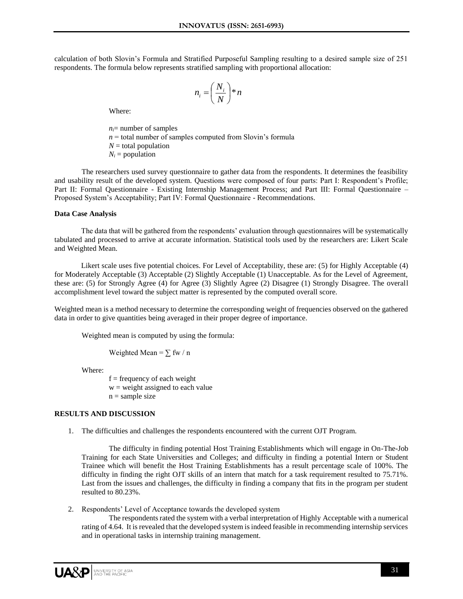calculation of both Slovin's Formula and Stratified Purposeful Sampling resulting to a desired sample size of 251 respondents. The formula below represents stratified sampling with proportional allocation:

$$
n_i = \left(\frac{N_i}{N}\right) * n
$$

Where:

 $n_i$ = number of samples  $n =$  total number of samples computed from Slovin's formula  $N =$  total population  $N_i$  = population

The researchers used survey questionnaire to gather data from the respondents. It determines the feasibility and usability result of the developed system. Questions were composed of four parts: Part I: Respondent's Profile; Part II: Formal Questionnaire - Existing Internship Management Process; and Part III: Formal Questionnaire – Proposed System's Acceptability; Part IV: Formal Questionnaire - Recommendations.

#### **Data Case Analysis**

The data that will be gathered from the respondents' evaluation through questionnaires will be systematically tabulated and processed to arrive at accurate information. Statistical tools used by the researchers are: Likert Scale and Weighted Mean.

Likert scale uses five potential choices. For Level of Acceptability, these are: (5) for Highly Acceptable (4) for Moderately Acceptable (3) Acceptable (2) Slightly Acceptable (1) Unacceptable. As for the Level of Agreement, these are: (5) for Strongly Agree (4) for Agree (3) Slightly Agree (2) Disagree (1) Strongly Disagree. The overall accomplishment level toward the subject matter is represented by the computed overall score.

Weighted mean is a method necessary to determine the corresponding weight of frequencies observed on the gathered data in order to give quantities being averaged in their proper degree of importance.

Weighted mean is computed by using the formula:

Weighted Mean =  $\sum$  fw / n

Where:

 $f = frequency of each weight$  $w = weight$  assigned to each value  $n =$ sample size

#### **RESULTS AND DISCUSSION**

1. The difficulties and challenges the respondents encountered with the current OJT Program.

The difficulty in finding potential Host Training Establishments which will engage in On-The-Job Training for each State Universities and Colleges; and difficulty in finding a potential Intern or Student Trainee which will benefit the Host Training Establishments has a result percentage scale of 100%. The difficulty in finding the right OJT skills of an intern that match for a task requirement resulted to 75.71%. Last from the issues and challenges, the difficulty in finding a company that fits in the program per student resulted to 80.23%.

2. Respondents' Level of Acceptance towards the developed system

The respondents rated the system with a verbal interpretation of Highly Acceptable with a numerical rating of 4.64. It is revealed that the developed system is indeed feasible in recommending internship services and in operational tasks in internship training management.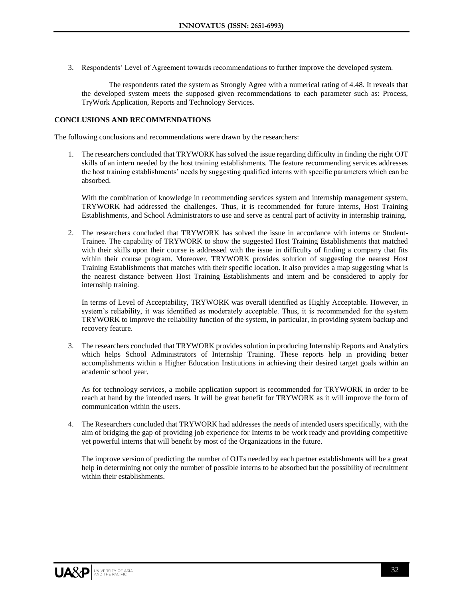3. Respondents' Level of Agreement towards recommendations to further improve the developed system.

The respondents rated the system as Strongly Agree with a numerical rating of 4.48. It reveals that the developed system meets the supposed given recommendations to each parameter such as: Process, TryWork Application, Reports and Technology Services.

## **CONCLUSIONS AND RECOMMENDATIONS**

The following conclusions and recommendations were drawn by the researchers:

1. The researchers concluded that TRYWORK has solved the issue regarding difficulty in finding the right OJT skills of an intern needed by the host training establishments. The feature recommending services addresses the host training establishments' needs by suggesting qualified interns with specific parameters which can be absorbed.

With the combination of knowledge in recommending services system and internship management system, TRYWORK had addressed the challenges. Thus, it is recommended for future interns, Host Training Establishments, and School Administrators to use and serve as central part of activity in internship training.

2. The researchers concluded that TRYWORK has solved the issue in accordance with interns or Student-Trainee. The capability of TRYWORK to show the suggested Host Training Establishments that matched with their skills upon their course is addressed with the issue in difficulty of finding a company that fits within their course program. Moreover, TRYWORK provides solution of suggesting the nearest Host Training Establishments that matches with their specific location. It also provides a map suggesting what is the nearest distance between Host Training Establishments and intern and be considered to apply for internship training.

In terms of Level of Acceptability, TRYWORK was overall identified as Highly Acceptable. However, in system's reliability, it was identified as moderately acceptable. Thus, it is recommended for the system TRYWORK to improve the reliability function of the system, in particular, in providing system backup and recovery feature.

3. The researchers concluded that TRYWORK provides solution in producing Internship Reports and Analytics which helps School Administrators of Internship Training. These reports help in providing better accomplishments within a Higher Education Institutions in achieving their desired target goals within an academic school year.

As for technology services, a mobile application support is recommended for TRYWORK in order to be reach at hand by the intended users. It will be great benefit for TRYWORK as it will improve the form of communication within the users.

4. The Researchers concluded that TRYWORK had addresses the needs of intended users specifically, with the aim of bridging the gap of providing job experience for Interns to be work ready and providing competitive yet powerful interns that will benefit by most of the Organizations in the future.

The improve version of predicting the number of OJTs needed by each partner establishments will be a great help in determining not only the number of possible interns to be absorbed but the possibility of recruitment within their establishments.